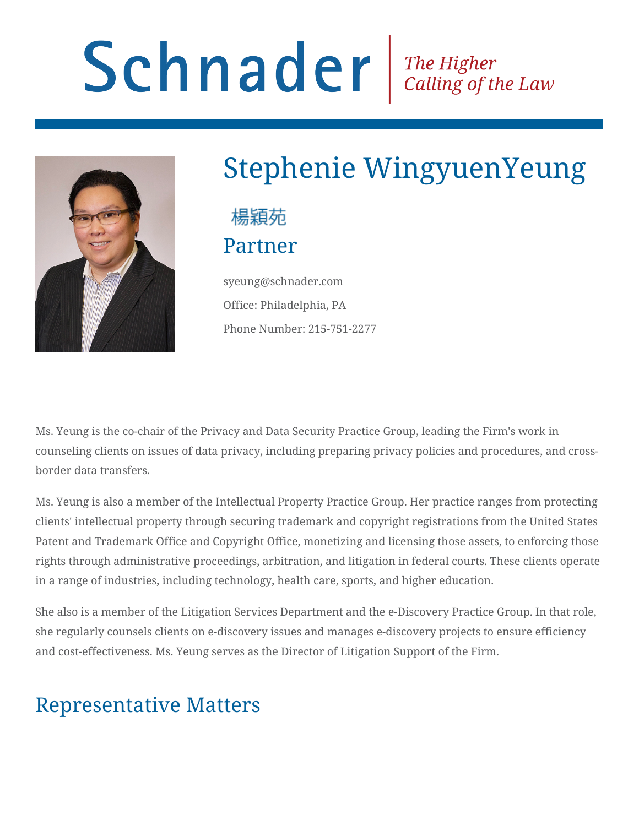# Schnader Fine Higher Calling of the Law



# Stephenie WingyuenYeung

#### 楊穎苑 Partner

syeung@schnader.com Office: Philadelphia, PA Phone Number: 215-751-2277

Ms. Yeung is the co-chair of the Privacy and Data Security Practice Group, leading the Firm's work in counseling clients on issues of data privacy, including preparing privacy policies and procedures, and crossborder data transfers.

Ms. Yeung is also a member of the Intellectual Property Practice Group. Her practice ranges from protecting clients' intellectual property through securing trademark and copyright registrations from the United States Patent and Trademark Office and Copyright Office, monetizing and licensing those assets, to enforcing those rights through administrative proceedings, arbitration, and litigation in federal courts. These clients operate in a range of industries, including technology, health care, sports, and higher education.

She also is a member of the Litigation Services Department and the e-Discovery Practice Group. In that role, she regularly counsels clients on e-discovery issues and manages e-discovery projects to ensure efficiency and cost-effectiveness. Ms. Yeung serves as the Director of Litigation Support of the Firm.

#### Representative Matters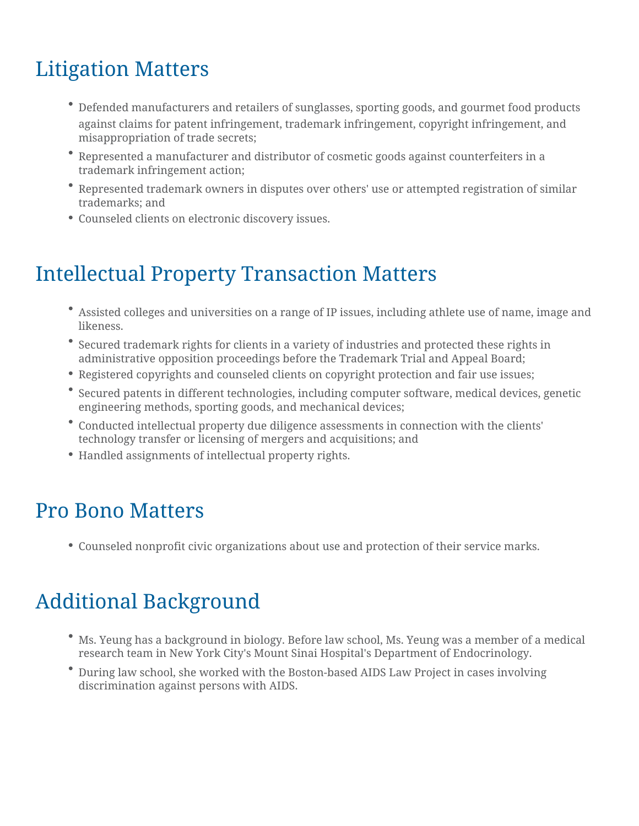### Litigation Matters

- Defended manufacturers and retailers of sunglasses, sporting goods, and gourmet food products against claims for patent infringement, trademark infringement, copyright infringement, and misappropriation of trade secrets;
- Represented a manufacturer and distributor of cosmetic goods against counterfeiters in a trademark infringement action;
- Represented trademark owners in disputes over others' use or attempted registration of similar trademarks; and
- Counseled clients on electronic discovery issues.

#### Intellectual Property Transaction Matters

- Assisted colleges and universities on a range of IP issues, including athlete use of name, image and likeness.
- Secured trademark rights for clients in a variety of industries and protected these rights in administrative opposition proceedings before the Trademark Trial and Appeal Board;
- Registered copyrights and counseled clients on copyright protection and fair use issues;
- Secured patents in different technologies, including computer software, medical devices, genetic engineering methods, sporting goods, and mechanical devices;
- Conducted intellectual property due diligence assessments in connection with the clients' technology transfer or licensing of mergers and acquisitions; and
- Handled assignments of intellectual property rights.

#### Pro Bono Matters

Counseled nonprofit civic organizations about use and protection of their service marks.

#### Additional Background

- Ms. Yeung has a background in biology. Before law school, Ms. Yeung was a member of a medical research team in New York City's Mount Sinai Hospital's Department of Endocrinology.
- During law school, she worked with the Boston-based AIDS Law Project in cases involving discrimination against persons with AIDS.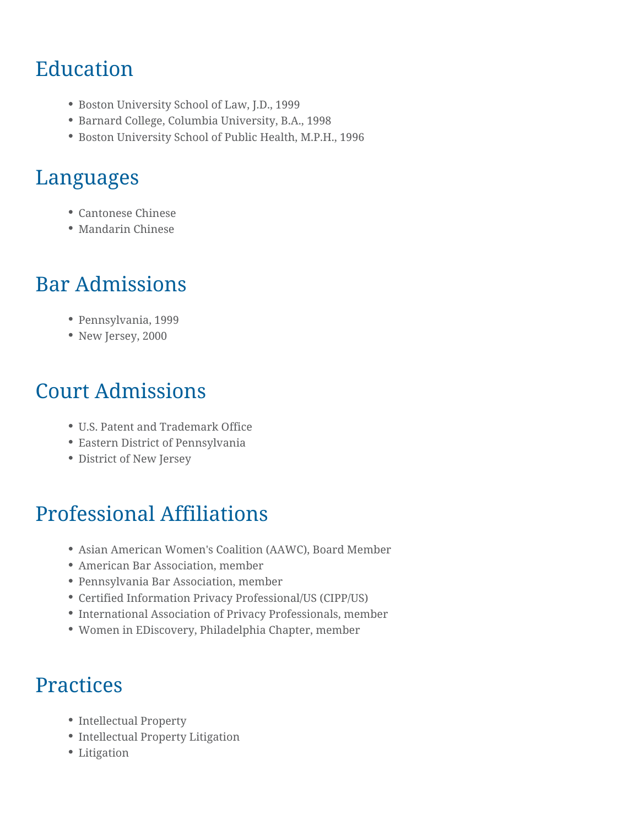#### Education

- Boston University School of Law, J.D., 1999
- Barnard College, Columbia University, B.A., 1998
- Boston University School of Public Health, M.P.H., 1996

#### Languages

- Cantonese Chinese
- Mandarin Chinese

#### Bar Admissions

- Pennsylvania, 1999
- New Jersey, 2000

#### Court Admissions

- U.S. Patent and Trademark Office
- Eastern District of Pennsylvania
- District of New Jersey

#### Professional Affiliations

- Asian American Women's Coalition (AAWC), Board Member
- American Bar Association, member
- Pennsylvania Bar Association, member
- Certified Information Privacy Professional/US (CIPP/US)
- International Association of Privacy Professionals, member
- Women in EDiscovery, Philadelphia Chapter, member

#### **Practices**

- Intellectual Property
- Intellectual Property Litigation
- Litigation